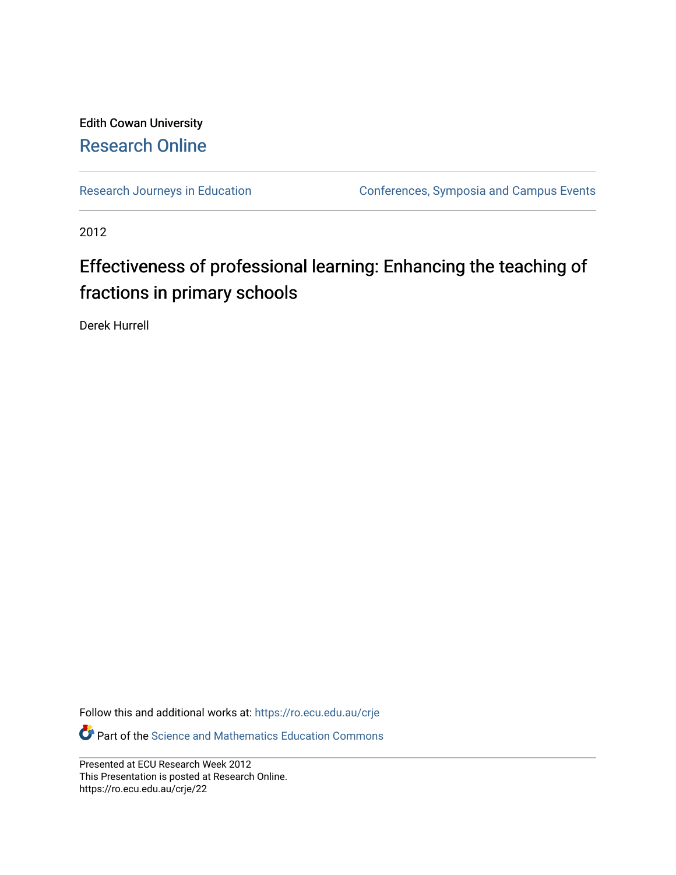## Edith Cowan University [Research Online](https://ro.ecu.edu.au/)

[Research Journeys in Education](https://ro.ecu.edu.au/crje) **Conferences**, Symposia and Campus Events

2012

## Effectiveness of professional learning: Enhancing the teaching of fractions in primary schools

Derek Hurrell

Follow this and additional works at: [https://ro.ecu.edu.au/crje](https://ro.ecu.edu.au/crje?utm_source=ro.ecu.edu.au%2Fcrje%2F22&utm_medium=PDF&utm_campaign=PDFCoverPages) 

**P** Part of the Science and Mathematics Education Commons

Presented at ECU Research Week 2012 This Presentation is posted at Research Online. https://ro.ecu.edu.au/crje/22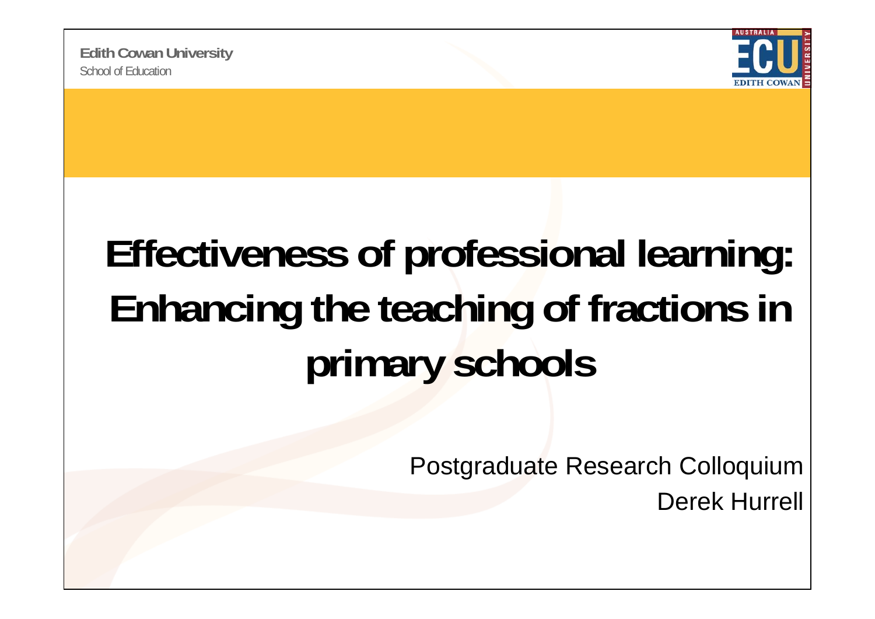

## **Eff ti f f i l l i Effectiveness of professional learning: Enhancing the teaching of fractions in primary schools**

Postgraduate Research Colloquium

Derek Hurrell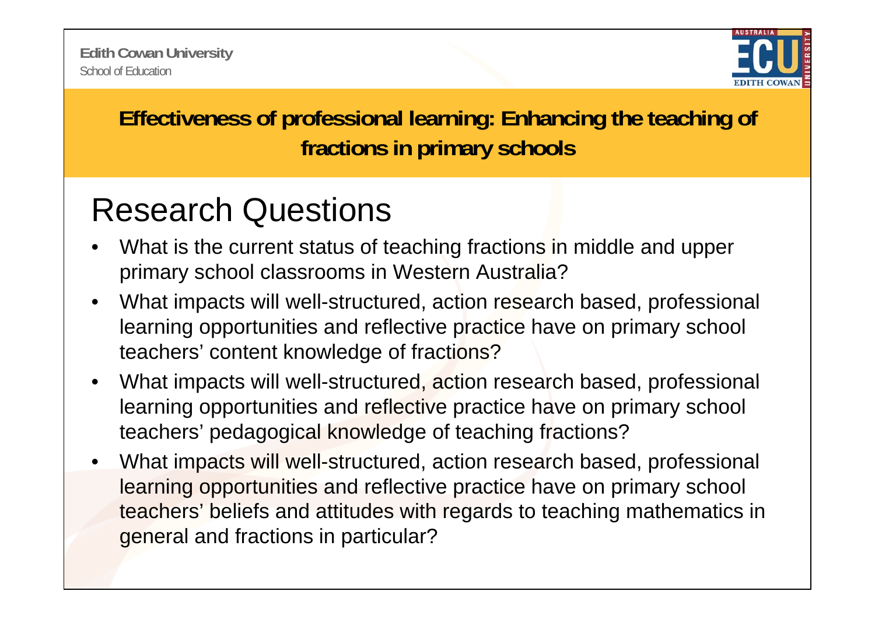

**Effectiveness of professional learning: Enhancing the teaching of fractions in primary schools**

## Research Questions

- • What is the current status of teaching fractions in middle and upper primary school classrooms in Western Australia?
- $\bullet$ What impacts will well-structured, action research based, professional learning opportunities and reflective practice have on primary school teachers' content knowledge of fractions?
- $\bullet$ What impacts will well-structured, action research based, professional learning opportunities and reflective practice have on primary school teachers' pedagogical knowledge of teaching fractions?
- • What impacts will well-structured, action research based, professional learning opportunities and reflective practice have on primary school teachers' beliefs and attitudes with regards to teaching mathematics in general and fractions in particular?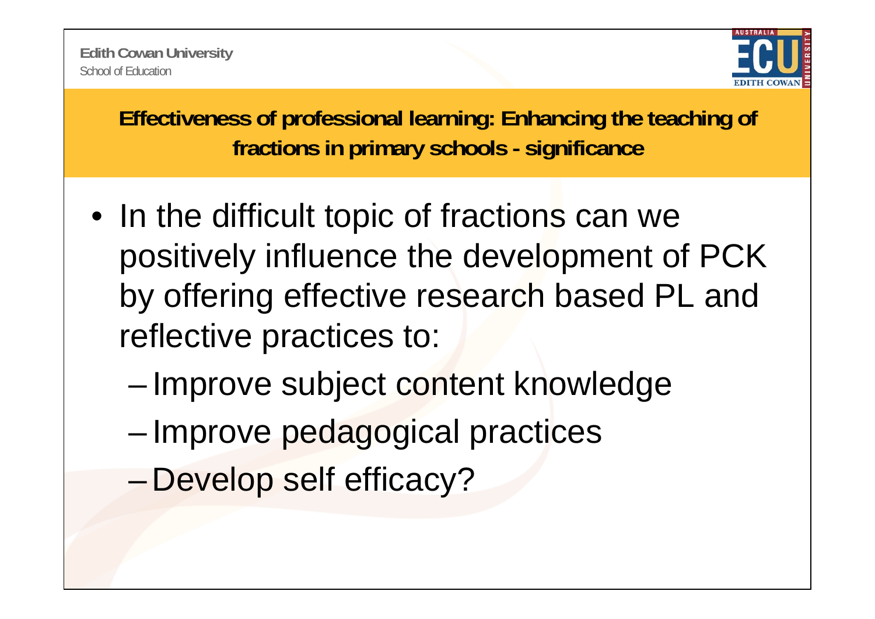

**Effectiveness of professional learning: Enhancing the teaching of fractions in primary schools - significance**

- In the difficult topic of fractions can we positively influence the development of PCK by offering effective research based PL and reflective practices to:
	- ––Improve subject content knowledge
	- –-Improve pedagogical practices
	- –Develop self efficacy?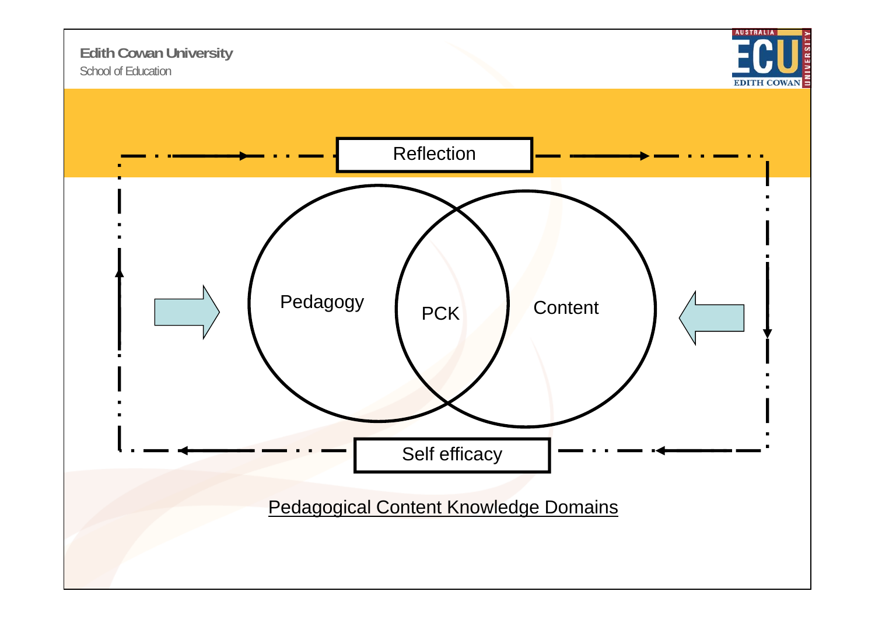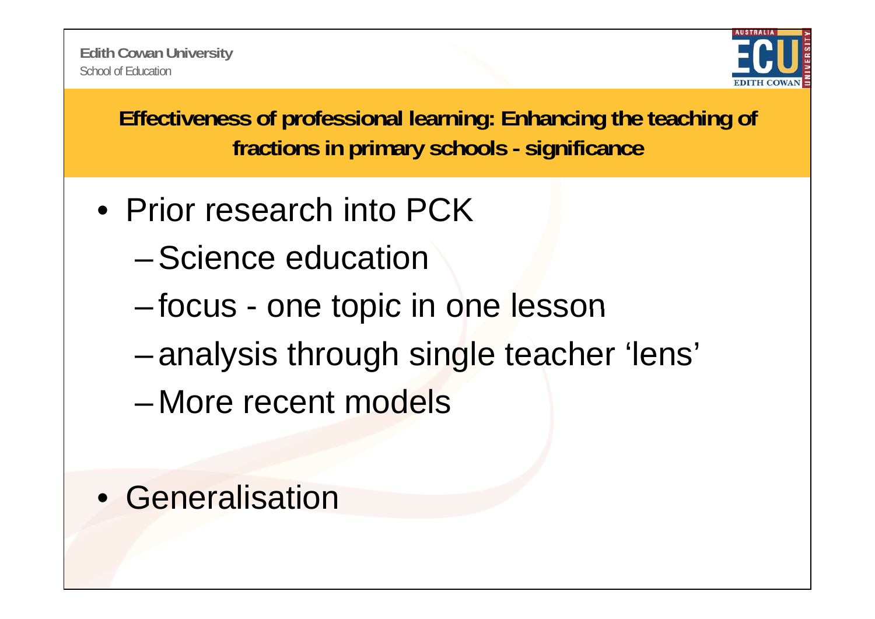

**Effectiveness of professional learning: Enhancing the teaching of fractions in primary schools - significance**

- Prior research into PCK
	- –Science education
	- –focus - one topic in one lesson
	- –analysis through single teacher 'lens'
	- –More recent models
- Generalisation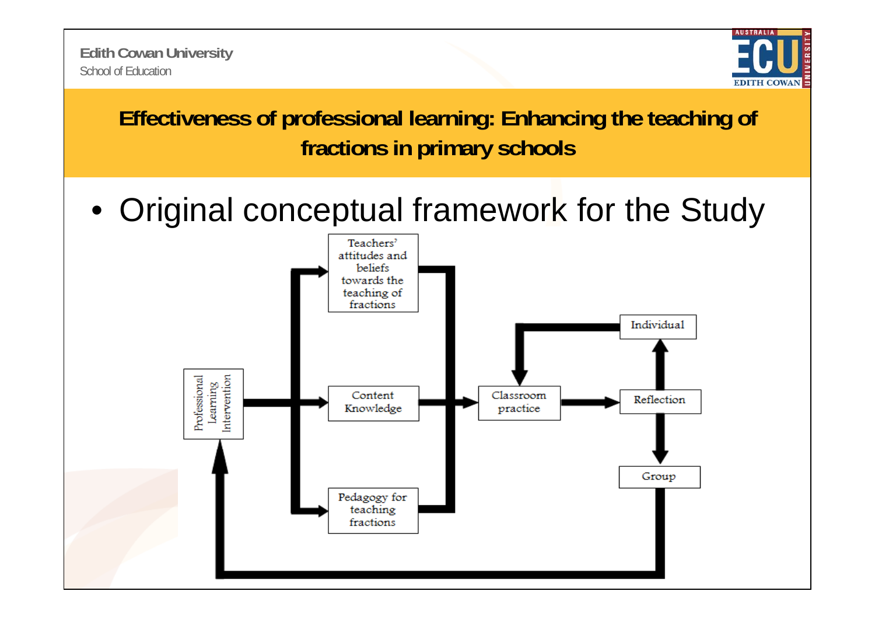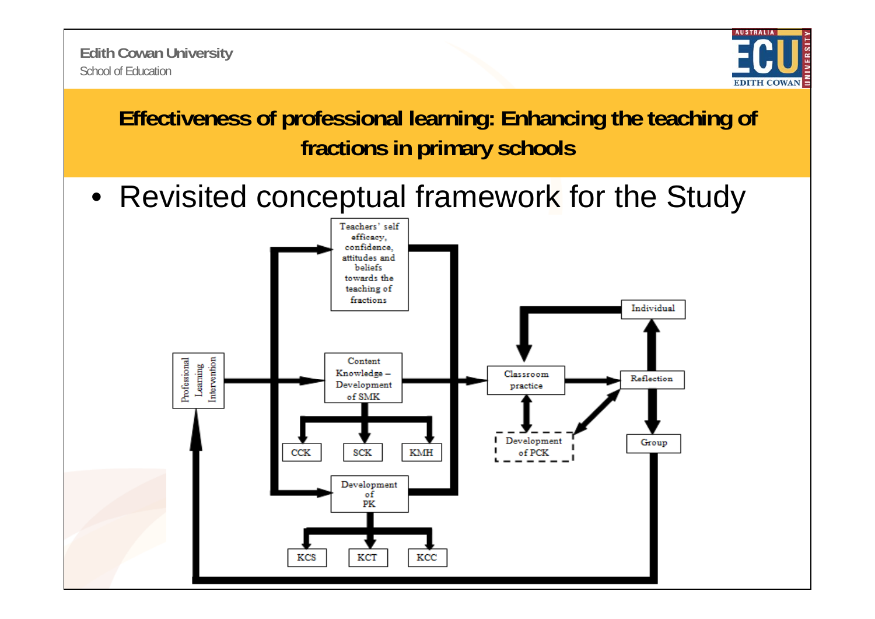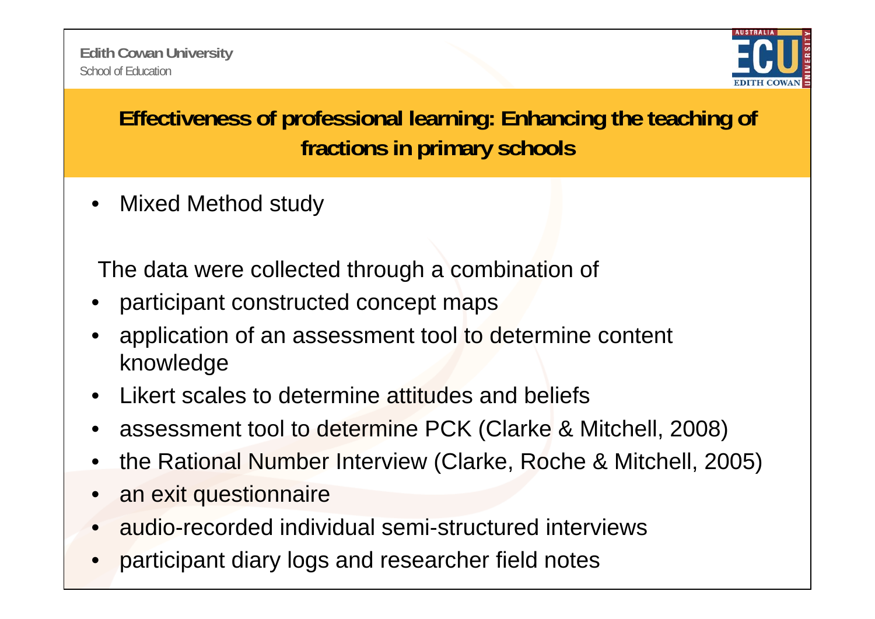

**Effectiveness of professional learning: Enhancing the teaching of fractions in primary schools**

 $\bullet$ Mixed Method study

The data were collected through a combination of

- •participant constructed concept maps
- • application of an assessment tool to determine content knowledge
- •Likert scales to determine attitudes and beliefs
- •assessment tool to determine PCK (Clarke & Mitchell, 2008)
- •the Rational Number Interview (Clarke, Roche & Mitchell, 2005)
- •an exit questionnaire
- •audio-recorded individual semi-structured interviews
- •participant diary logs and researcher field notes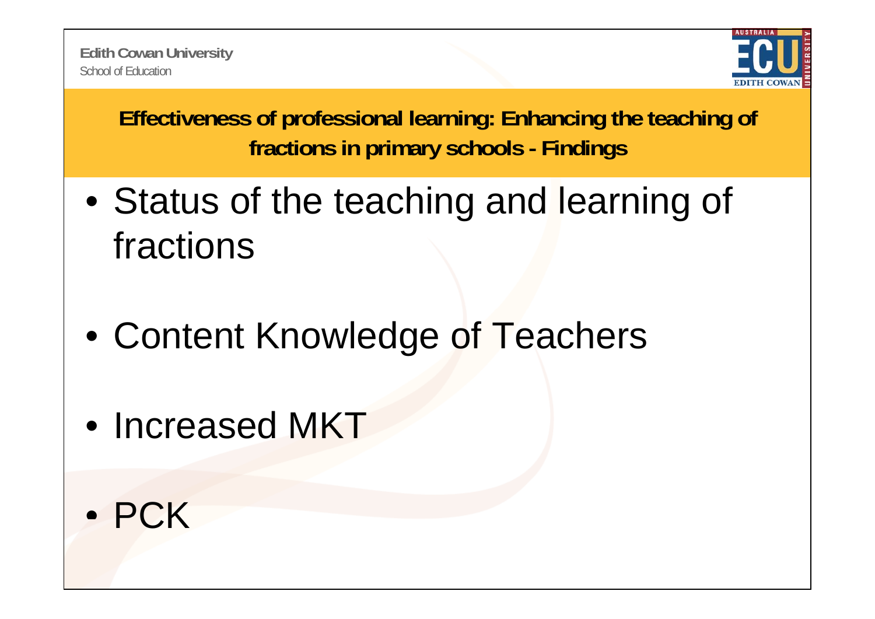

**Effectiveness of professional learning: Enhancing the teaching of fractions in primary schools - Findings**

- Status of the teaching and learning of fractions
- Content Knowledge of Teachers
- Increased MKT
- PCK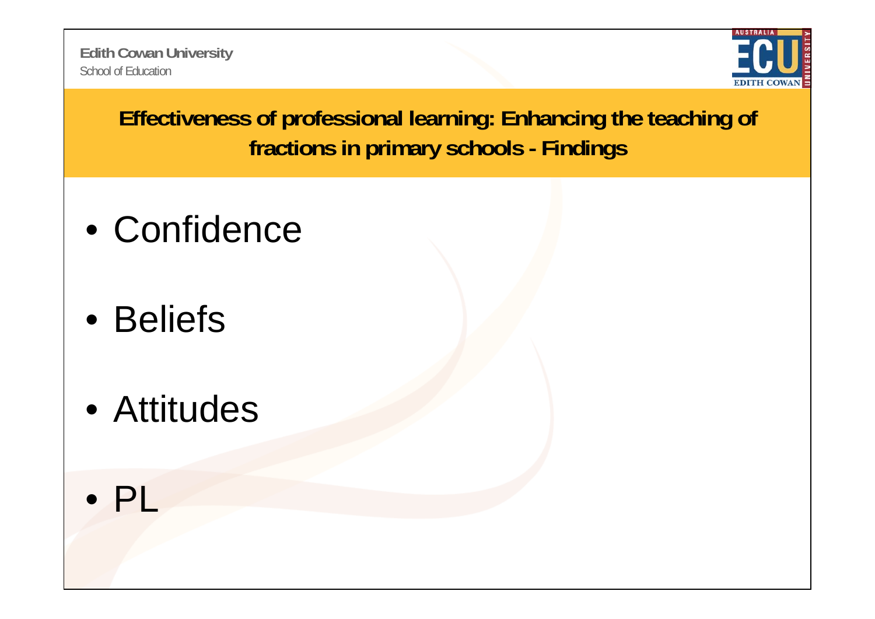School of Education**Edith Cowan University**



**Effectiveness of professional learning: Enhancing the teaching of fractions in primary schools - Findings**

- Confidence
- Beliefs
- Attitudes
- PL